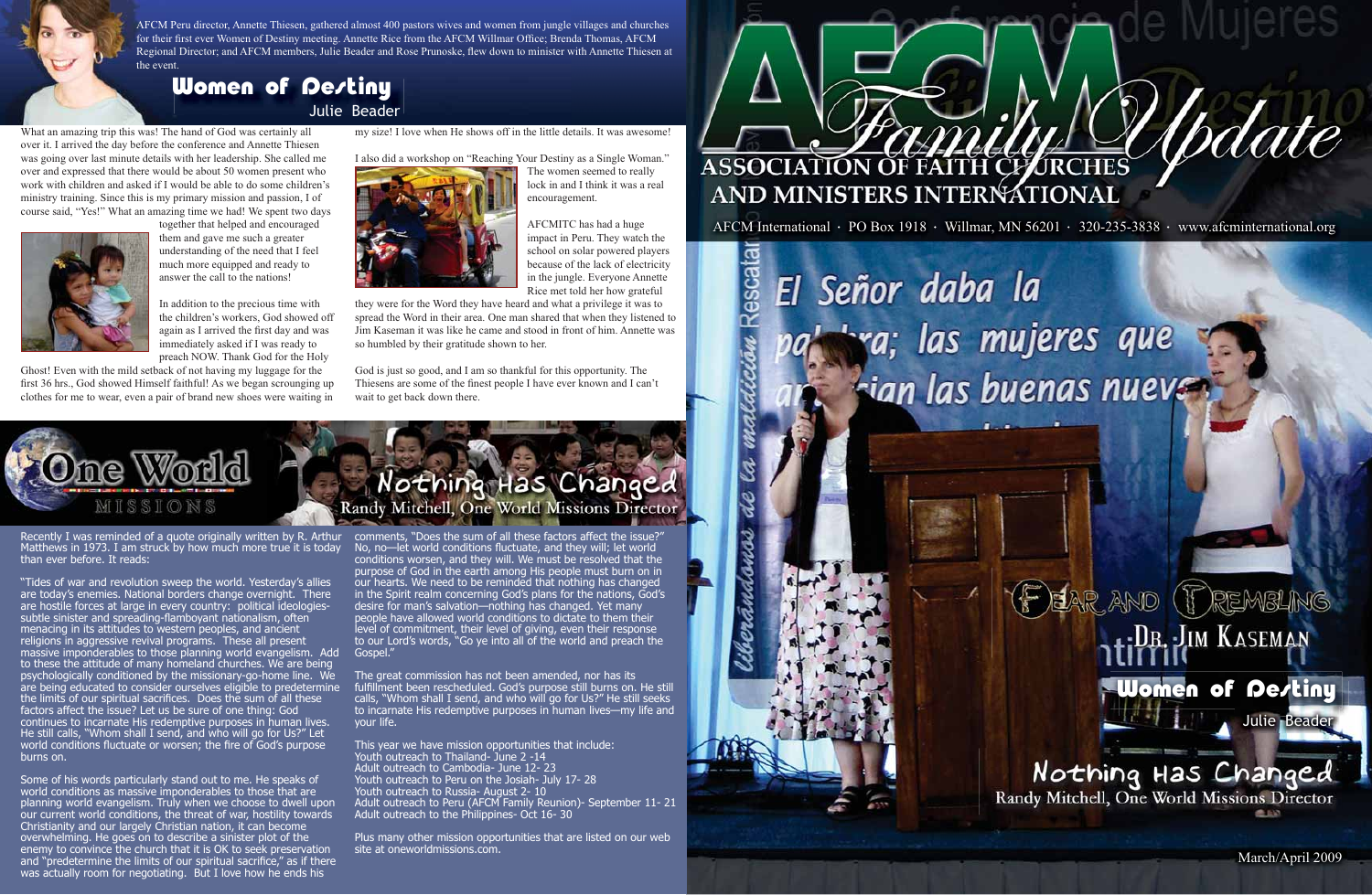March/April 2009

Recently I was reminded of a quote originally written by R. Arthur Matthews in 1973. I am struck by how much more true it is today than ever before. It reads:

"Tides of war and revolution sweep the world. Yesterday's allies are today's enemies. National borders change overnight. There are hostile forces at large in every country: political ideologiessubtle sinister and spreading-flamboyant nationalism, often menacing in its attitudes to western peoples, and ancient religions in aggressive revival programs. These all present massive imponderables to those planning world evangelism. Add to these the attitude of many homeland churches. We are being psychologically conditioned by the missionary-go-home line. We are being educated to consider ourselves eligible to predetermine the limits of our spiritual sacrifices. Does the sum of all these factors affect the issue? Let us be sure of one thing: God continues to incarnate His redemptive purposes in human lives. He still calls, "Whom shall I send, and who will go for Us?" Let world conditions fluctuate or worsen; the fire of God's purpose burns on.

The great commission has not been amended, nor has its fulfillment been rescheduled. God's purpose still burns on. He still calls, "Whom shall I send, and who will go for Us?" He still seeks to incarnate His redemptive purposes in human lives—my life and your life.

Some of his words particularly stand out to me. He speaks of world conditions as massive imponderables to those that are planning world evangelism. Truly when we choose to dwell upon our current world conditions, the threat of war, hostility towards Christianity and our largely Christian nation, it can become overwhelming. He goes on to describe a sinister plot of the enemy to convince the church that it is OK to seek preservation and "predetermine the limits of our spiritual sacrifice," as if there was actually room for negotiating. But I love how he ends his

comments, "Does the sum of all these factors affect the issue?" No, no—let world conditions fluctuate, and they will; let world conditions worsen, and they will. We must be resolved that the purpose of God in the earth among His people must burn on in our hearts. We need to be reminded that nothing has changed in the Spirit realm concerning God's plans for the nations, God's desire for man's salvation—nothing has changed. Yet many people have allowed world conditions to dictate to them their level of commitment, their level of giving, even their response to our Lord's words, "Go ye into all of the world and preach the Gospel."

Plus many other mission opportunities that are listed on our web site at oneworldmissions.com.



AFCM International · PO Box 1918 · Willmar, MN 56201 · 320-235-3838 · www.afcminternational.org

El Señor daba la

Rescata

# tra; las mujeres que sian las buenas nueves

## +: Dr. : JIM KASEMAN **Women of Destiny**

Nothing Has Changed<br>Randy Mitchell, One World Missions Director 血血的

**E EAR AND PREMBLING** 

This year we have mission opportunities that include: Youth outreach to Thailand- June 2 -14 Adult outreach to Cambodia- June 12- 23 Youth outreach to Peru on the Josiah- July 17- 28 Youth outreach to Russia- August 2- 10 Adult outreach to Peru (AFCM Family Reunion)- September 11- 21 Adult outreach to the Philippines- Oct 16- 30

What an amazing trip this was! The hand of God was certainly all over it. I arrived the day before the conference and Annette Thiesen was going over last minute details with her leadership. She called me over and expressed that there would be about 50 women present who work with children and asked if I would be able to do some children's ministry training. Since this is my primary mission and passion, I of course said, "Yes!" What an amazing time we had! We spent two days



together that helped and encouraged them and gave me such a greater understanding of the need that I feel much more equipped and ready to answer the call to the nations!

In addition to the precious time with the children's workers, God showed off again as I arrived the first day and was immediately asked if I was ready to preach NOW. Thank God for the Holy

Ghost! Even with the mild setback of not having my luggage for the first 36 hrs., God showed Himself faithful! As we began scrounging up clothes for me to wear, even a pair of brand new shoes were waiting in

my size! I love when He shows off in the little details. It was awesome!

I also did a workshop on "Reaching Your Destiny as a Single Woman."



The women seemed to really lock in and I think it was a real encouragement.

AFCMITC has had a huge impact in Peru. They watch the school on solar powered players because of the lack of electricity in the jungle. Everyone Annette Rice met told her how grateful

they were for the Word they have heard and what a privilege it was to spread the Word in their area. One man shared that when they listened to Jim Kaseman it was like he came and stood in front of him. Annette was so humbled by their gratitude shown to her.

God is just so good, and I am so thankful for this opportunity. The Thiesens are some of the finest people I have ever known and I can't wait to get back down there.



AFCM Peru director, Annette Thiesen, gathered almost 400 pastors wives and women from jungle villages and churches for their first ever Women of Destiny meeting. Annette Rice from the AFCM Willmar Office; Brenda Thomas, AFCM Regional Director; and AFCM members, Julie Beader and Rose Prunoske, flew down to minister with Annette Thiesen at the event.

## **Women of Destiny**

Julie Beader

Julie Beader